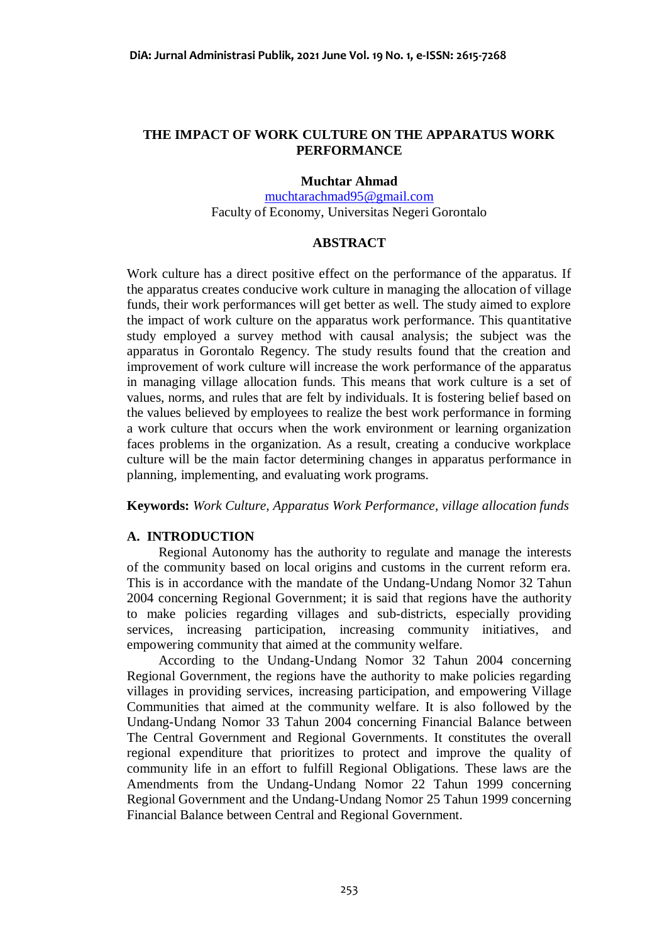# **THE IMPACT OF WORK CULTURE ON THE APPARATUS WORK PERFORMANCE**

## **Muchtar Ahmad**

[muchtarachmad95@gmail.com](mailto:muchtarachmad95@gmail.com) Faculty of Economy, Universitas Negeri Gorontalo

# **ABSTRACT**

Work culture has a direct positive effect on the performance of the apparatus. If the apparatus creates conducive work culture in managing the allocation of village funds, their work performances will get better as well. The study aimed to explore the impact of work culture on the apparatus work performance. This quantitative study employed a survey method with causal analysis; the subject was the apparatus in Gorontalo Regency. The study results found that the creation and improvement of work culture will increase the work performance of the apparatus in managing village allocation funds. This means that work culture is a set of values, norms, and rules that are felt by individuals. It is fostering belief based on the values believed by employees to realize the best work performance in forming a work culture that occurs when the work environment or learning organization faces problems in the organization. As a result, creating a conducive workplace culture will be the main factor determining changes in apparatus performance in planning, implementing, and evaluating work programs.

**Keywords:** *Work Culture, Apparatus Work Performance, village allocation funds*

# **A. INTRODUCTION**

Regional Autonomy has the authority to regulate and manage the interests of the community based on local origins and customs in the current reform era. This is in accordance with the mandate of the Undang-Undang Nomor 32 Tahun 2004 concerning Regional Government; it is said that regions have the authority to make policies regarding villages and sub-districts, especially providing services, increasing participation, increasing community initiatives, and empowering community that aimed at the community welfare.

According to the Undang-Undang Nomor 32 Tahun 2004 concerning Regional Government, the regions have the authority to make policies regarding villages in providing services, increasing participation, and empowering Village Communities that aimed at the community welfare. It is also followed by the Undang-Undang Nomor 33 Tahun 2004 concerning Financial Balance between The Central Government and Regional Governments. It constitutes the overall regional expenditure that prioritizes to protect and improve the quality of community life in an effort to fulfill Regional Obligations. These laws are the Amendments from the Undang-Undang Nomor 22 Tahun 1999 concerning Regional Government and the Undang-Undang Nomor 25 Tahun 1999 concerning Financial Balance between Central and Regional Government.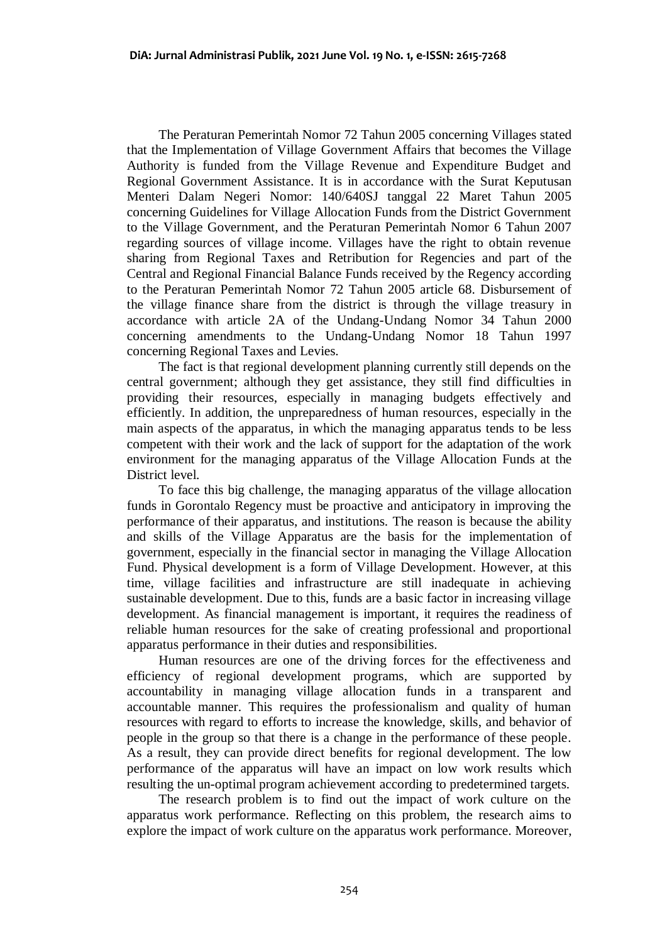The Peraturan Pemerintah Nomor 72 Tahun 2005 concerning Villages stated that the Implementation of Village Government Affairs that becomes the Village Authority is funded from the Village Revenue and Expenditure Budget and Regional Government Assistance. It is in accordance with the Surat Keputusan Menteri Dalam Negeri Nomor: 140/640SJ tanggal 22 Maret Tahun 2005 concerning Guidelines for Village Allocation Funds from the District Government to the Village Government, and the Peraturan Pemerintah Nomor 6 Tahun 2007 regarding sources of village income. Villages have the right to obtain revenue sharing from Regional Taxes and Retribution for Regencies and part of the Central and Regional Financial Balance Funds received by the Regency according to the Peraturan Pemerintah Nomor 72 Tahun 2005 article 68. Disbursement of the village finance share from the district is through the village treasury in accordance with article 2A of the Undang-Undang Nomor 34 Tahun 2000 concerning amendments to the Undang-Undang Nomor 18 Tahun 1997 concerning Regional Taxes and Levies.

The fact is that regional development planning currently still depends on the central government; although they get assistance, they still find difficulties in providing their resources, especially in managing budgets effectively and efficiently. In addition, the unpreparedness of human resources, especially in the main aspects of the apparatus, in which the managing apparatus tends to be less competent with their work and the lack of support for the adaptation of the work environment for the managing apparatus of the Village Allocation Funds at the District level.

To face this big challenge, the managing apparatus of the village allocation funds in Gorontalo Regency must be proactive and anticipatory in improving the performance of their apparatus, and institutions. The reason is because the ability and skills of the Village Apparatus are the basis for the implementation of government, especially in the financial sector in managing the Village Allocation Fund. Physical development is a form of Village Development. However, at this time, village facilities and infrastructure are still inadequate in achieving sustainable development. Due to this, funds are a basic factor in increasing village development. As financial management is important, it requires the readiness of reliable human resources for the sake of creating professional and proportional apparatus performance in their duties and responsibilities.

Human resources are one of the driving forces for the effectiveness and efficiency of regional development programs, which are supported by accountability in managing village allocation funds in a transparent and accountable manner. This requires the professionalism and quality of human resources with regard to efforts to increase the knowledge, skills, and behavior of people in the group so that there is a change in the performance of these people. As a result, they can provide direct benefits for regional development. The low performance of the apparatus will have an impact on low work results which resulting the un-optimal program achievement according to predetermined targets.

The research problem is to find out the impact of work culture on the apparatus work performance. Reflecting on this problem, the research aims to explore the impact of work culture on the apparatus work performance. Moreover,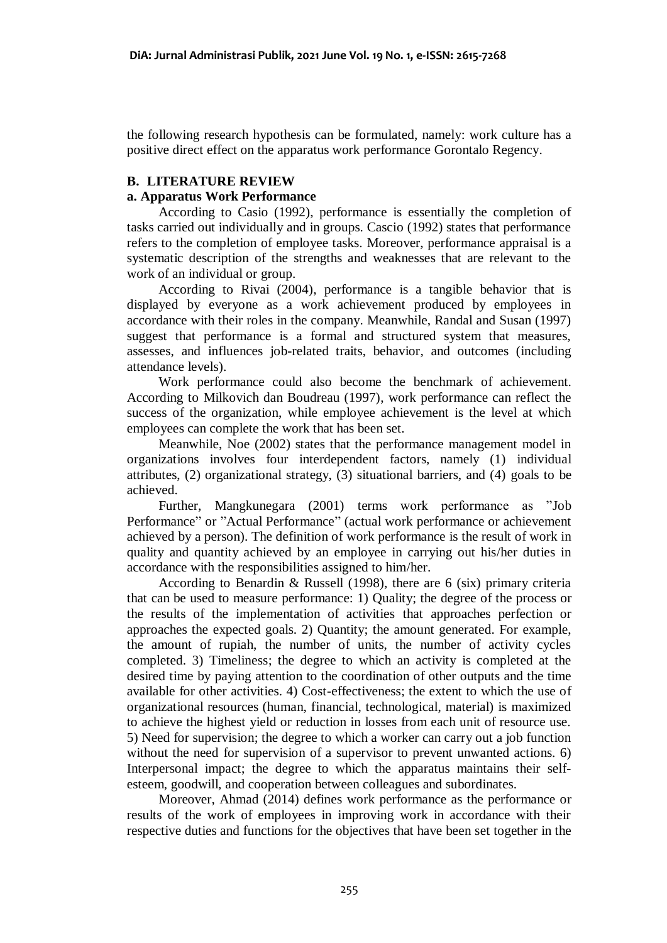the following research hypothesis can be formulated, namely: work culture has a positive direct effect on the apparatus work performance Gorontalo Regency.

# **B. LITERATURE REVIEW**

# **a. Apparatus Work Performance**

According to Casio (1992), performance is essentially the completion of tasks carried out individually and in groups. Cascio (1992) states that performance refers to the completion of employee tasks. Moreover, performance appraisal is a systematic description of the strengths and weaknesses that are relevant to the work of an individual or group.

According to Rivai (2004), performance is a tangible behavior that is displayed by everyone as a work achievement produced by employees in accordance with their roles in the company. Meanwhile, Randal and Susan (1997) suggest that performance is a formal and structured system that measures, assesses, and influences job-related traits, behavior, and outcomes (including attendance levels).

Work performance could also become the benchmark of achievement. According to Milkovich dan Boudreau (1997), work performance can reflect the success of the organization, while employee achievement is the level at which employees can complete the work that has been set.

Meanwhile, Noe (2002) states that the performance management model in organizations involves four interdependent factors, namely (1) individual attributes, (2) organizational strategy, (3) situational barriers, and (4) goals to be achieved.

Further, Mangkunegara (2001) terms work performance as "Job Performance" or "Actual Performance" (actual work performance or achievement achieved by a person). The definition of work performance is the result of work in quality and quantity achieved by an employee in carrying out his/her duties in accordance with the responsibilities assigned to him/her.

According to Benardin & Russell (1998), there are 6 (six) primary criteria that can be used to measure performance: 1) Quality; the degree of the process or the results of the implementation of activities that approaches perfection or approaches the expected goals. 2) Quantity; the amount generated. For example, the amount of rupiah, the number of units, the number of activity cycles completed. 3) Timeliness; the degree to which an activity is completed at the desired time by paying attention to the coordination of other outputs and the time available for other activities. 4) Cost-effectiveness; the extent to which the use of organizational resources (human, financial, technological, material) is maximized to achieve the highest yield or reduction in losses from each unit of resource use. 5) Need for supervision; the degree to which a worker can carry out a job function without the need for supervision of a supervisor to prevent unwanted actions. 6) Interpersonal impact; the degree to which the apparatus maintains their selfesteem, goodwill, and cooperation between colleagues and subordinates.

Moreover, Ahmad (2014) defines work performance as the performance or results of the work of employees in improving work in accordance with their respective duties and functions for the objectives that have been set together in the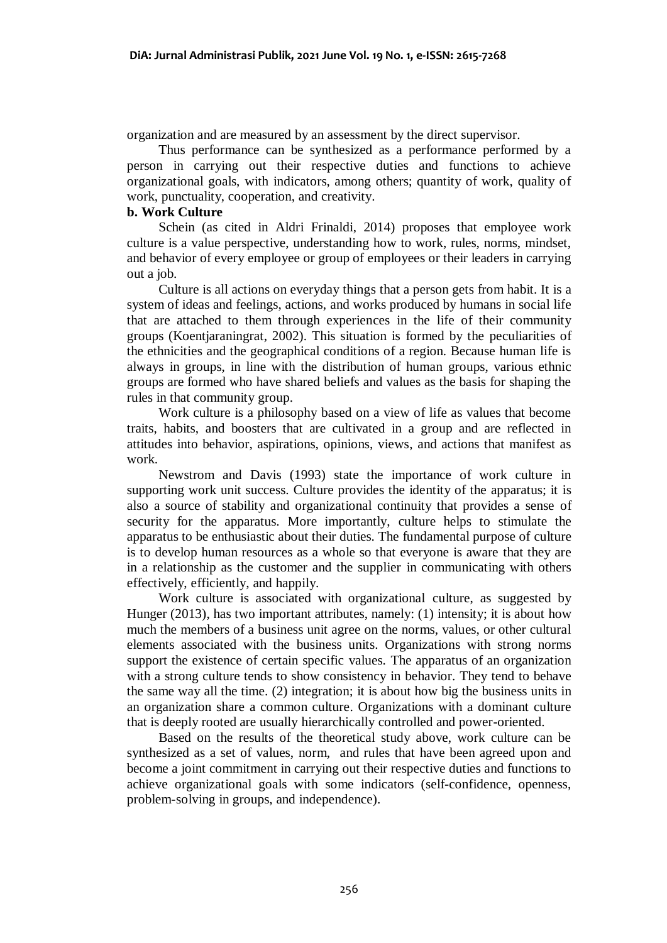organization and are measured by an assessment by the direct supervisor.

Thus performance can be synthesized as a performance performed by a person in carrying out their respective duties and functions to achieve organizational goals, with indicators, among others; quantity of work, quality of work, punctuality, cooperation, and creativity.

## **b. Work Culture**

Schein (as cited in Aldri Frinaldi, 2014) proposes that employee work culture is a value perspective, understanding how to work, rules, norms, mindset, and behavior of every employee or group of employees or their leaders in carrying out a job.

Culture is all actions on everyday things that a person gets from habit. It is a system of ideas and feelings, actions, and works produced by humans in social life that are attached to them through experiences in the life of their community groups (Koentjaraningrat, 2002). This situation is formed by the peculiarities of the ethnicities and the geographical conditions of a region. Because human life is always in groups, in line with the distribution of human groups, various ethnic groups are formed who have shared beliefs and values as the basis for shaping the rules in that community group.

Work culture is a philosophy based on a view of life as values that become traits, habits, and boosters that are cultivated in a group and are reflected in attitudes into behavior, aspirations, opinions, views, and actions that manifest as work.

Newstrom and Davis (1993) state the importance of work culture in supporting work unit success. Culture provides the identity of the apparatus; it is also a source of stability and organizational continuity that provides a sense of security for the apparatus. More importantly, culture helps to stimulate the apparatus to be enthusiastic about their duties. The fundamental purpose of culture is to develop human resources as a whole so that everyone is aware that they are in a relationship as the customer and the supplier in communicating with others effectively, efficiently, and happily.

Work culture is associated with organizational culture, as suggested by Hunger (2013), has two important attributes, namely: (1) intensity; it is about how much the members of a business unit agree on the norms, values, or other cultural elements associated with the business units. Organizations with strong norms support the existence of certain specific values. The apparatus of an organization with a strong culture tends to show consistency in behavior. They tend to behave the same way all the time. (2) integration; it is about how big the business units in an organization share a common culture. Organizations with a dominant culture that is deeply rooted are usually hierarchically controlled and power-oriented.

Based on the results of the theoretical study above, work culture can be synthesized as a set of values, norm, and rules that have been agreed upon and become a joint commitment in carrying out their respective duties and functions to achieve organizational goals with some indicators (self-confidence, openness, problem-solving in groups, and independence).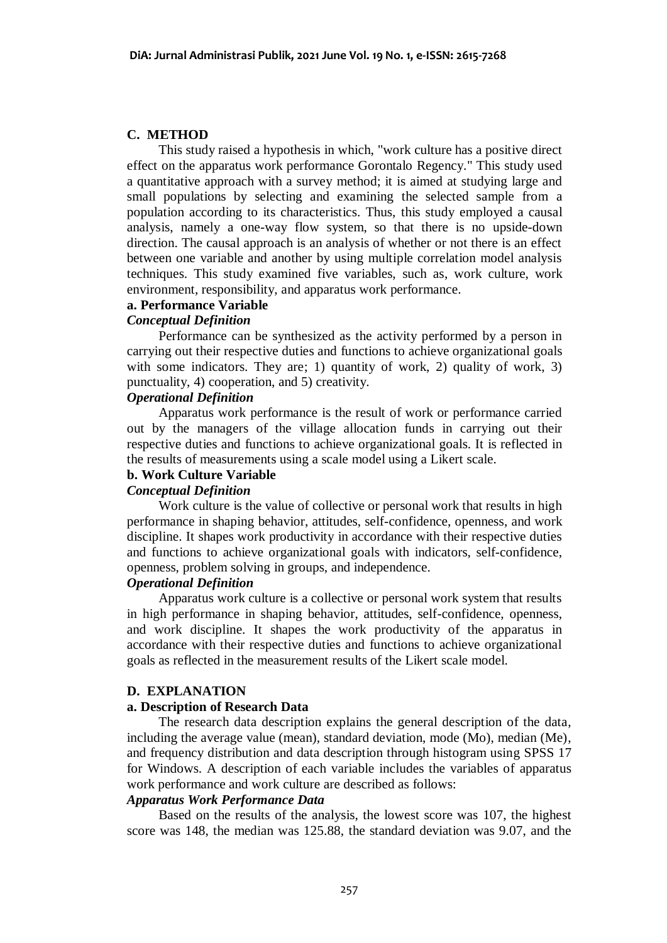# **C. METHOD**

This study raised a hypothesis in which, "work culture has a positive direct effect on the apparatus work performance Gorontalo Regency." This study used a quantitative approach with a survey method; it is aimed at studying large and small populations by selecting and examining the selected sample from a population according to its characteristics. Thus, this study employed a causal analysis, namely a one-way flow system, so that there is no upside-down direction. The causal approach is an analysis of whether or not there is an effect between one variable and another by using multiple correlation model analysis techniques. This study examined five variables, such as, work culture, work environment, responsibility, and apparatus work performance.

# **a. Performance Variable**

# *Conceptual Definition*

Performance can be synthesized as the activity performed by a person in carrying out their respective duties and functions to achieve organizational goals with some indicators. They are; 1) quantity of work, 2) quality of work, 3) punctuality, 4) cooperation, and 5) creativity.

# *Operational Definition*

Apparatus work performance is the result of work or performance carried out by the managers of the village allocation funds in carrying out their respective duties and functions to achieve organizational goals. It is reflected in the results of measurements using a scale model using a Likert scale.

# **b. Work Culture Variable**

#### *Conceptual Definition*

Work culture is the value of collective or personal work that results in high performance in shaping behavior, attitudes, self-confidence, openness, and work discipline. It shapes work productivity in accordance with their respective duties and functions to achieve organizational goals with indicators, self-confidence, openness, problem solving in groups, and independence.

# *Operational Definition*

Apparatus work culture is a collective or personal work system that results in high performance in shaping behavior, attitudes, self-confidence, openness, and work discipline. It shapes the work productivity of the apparatus in accordance with their respective duties and functions to achieve organizational goals as reflected in the measurement results of the Likert scale model.

# **D. EXPLANATION**

## **a. Description of Research Data**

The research data description explains the general description of the data, including the average value (mean), standard deviation, mode (Mo), median (Me), and frequency distribution and data description through histogram using SPSS 17 for Windows. A description of each variable includes the variables of apparatus work performance and work culture are described as follows:

# *Apparatus Work Performance Data*

Based on the results of the analysis, the lowest score was 107, the highest score was 148, the median was 125.88, the standard deviation was 9.07, and the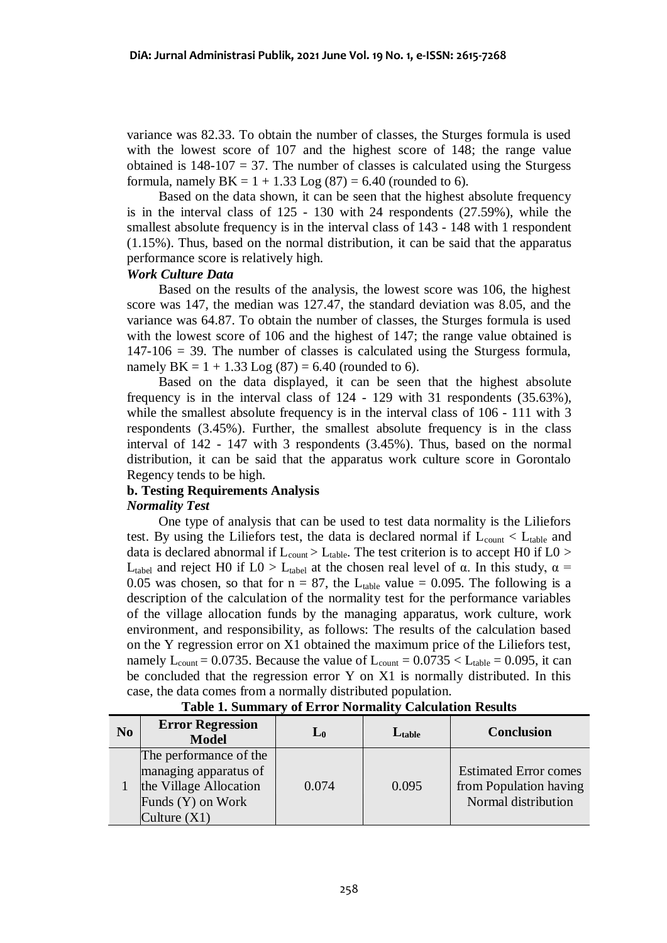variance was 82.33. To obtain the number of classes, the Sturges formula is used with the lowest score of 107 and the highest score of 148; the range value obtained is  $148-107 = 37$ . The number of classes is calculated using the Sturgess formula, namely  $BK = 1 + 1.33$  Log  $(87) = 6.40$  (rounded to 6).

Based on the data shown, it can be seen that the highest absolute frequency is in the interval class of 125 - 130 with 24 respondents (27.59%), while the smallest absolute frequency is in the interval class of 143 - 148 with 1 respondent (1.15%). Thus, based on the normal distribution, it can be said that the apparatus performance score is relatively high.

## *Work Culture Data*

Based on the results of the analysis, the lowest score was 106, the highest score was 147, the median was 127.47, the standard deviation was 8.05, and the variance was 64.87. To obtain the number of classes, the Sturges formula is used with the lowest score of 106 and the highest of 147; the range value obtained is  $147-106 = 39$ . The number of classes is calculated using the Sturgess formula, namely  $BK = 1 + 1.33$  Log  $(87) = 6.40$  (rounded to 6).

Based on the data displayed, it can be seen that the highest absolute frequency is in the interval class of 124 - 129 with 31 respondents (35.63%), while the smallest absolute frequency is in the interval class of 106 - 111 with 3 respondents (3.45%). Further, the smallest absolute frequency is in the class interval of 142 - 147 with 3 respondents (3.45%). Thus, based on the normal distribution, it can be said that the apparatus work culture score in Gorontalo Regency tends to be high.

# **b. Testing Requirements Analysis**

# *Normality Test*

One type of analysis that can be used to test data normality is the Liliefors test. By using the Liliefors test, the data is declared normal if  $L_{\text{count}} < L_{\text{table}}$  and data is declared abnormal if  $L_{\text{count}} > L_{\text{table}}$ . The test criterion is to accept H0 if L0 > L<sub>tabel</sub> and reject H0 if L0 > L<sub>tabel</sub> at the chosen real level of α. In this study,  $\alpha$  = 0.05 was chosen, so that for  $n = 87$ , the L<sub>table</sub> value = 0.095. The following is a description of the calculation of the normality test for the performance variables of the village allocation funds by the managing apparatus, work culture, work environment, and responsibility, as follows: The results of the calculation based on the Y regression error on X1 obtained the maximum price of the Liliefors test, namely  $L_{\text{count}} = 0.0735$ . Because the value of  $L_{\text{count}} = 0.0735 < L_{\text{table}} = 0.095$ , it can be concluded that the regression error Y on X1 is normally distributed. In this case, the data comes from a normally distributed population.

| N <sub>0</sub> | <b>Error Regression</b><br><b>Model</b>                                                                          | $L_0$ | $L_{table}$ | <b>Conclusion</b>                                                             |
|----------------|------------------------------------------------------------------------------------------------------------------|-------|-------------|-------------------------------------------------------------------------------|
|                | The performance of the<br>managing apparatus of<br>the Village Allocation<br>Funds (Y) on Work<br>Culture $(X1)$ | 0.074 | 0.095       | <b>Estimated Error comes</b><br>from Population having<br>Normal distribution |

## **Table 1. Summary of Error Normality Calculation Results**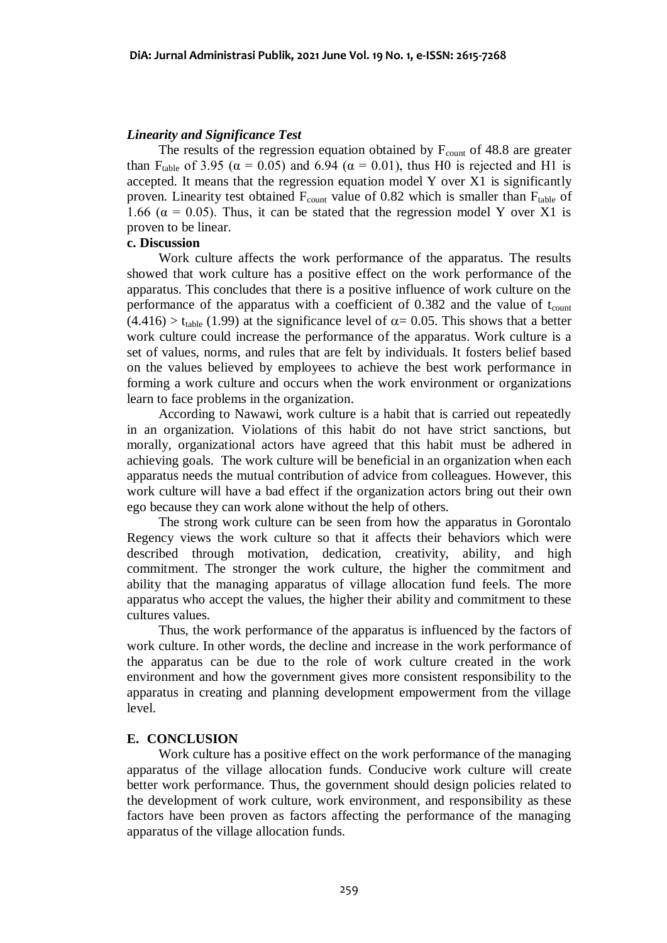# *Linearity and Significance Test*

The results of the regression equation obtained by  $F_{\text{count}}$  of 48.8 are greater than F<sub>table</sub> of 3.95 ( $\alpha$  = 0.05) and 6.94 ( $\alpha$  = 0.01), thus H0 is rejected and H1 is accepted. It means that the regression equation model Y over X1 is significantly proven. Linearity test obtained  $F_{\text{count}}$  value of 0.82 which is smaller than  $F_{\text{table}}$  of 1.66 ( $\alpha$  = 0.05). Thus, it can be stated that the regression model Y over X1 is proven to be linear.

## **c. Discussion**

Work culture affects the work performance of the apparatus. The results showed that work culture has a positive effect on the work performance of the apparatus. This concludes that there is a positive influence of work culture on the performance of the apparatus with a coefficient of  $0.382$  and the value of  $t_{\text{count}}$  $(4.416) > t_{table}$  (1.99) at the significance level of  $\alpha = 0.05$ . This shows that a better work culture could increase the performance of the apparatus. Work culture is a set of values, norms, and rules that are felt by individuals. It fosters belief based on the values believed by employees to achieve the best work performance in forming a work culture and occurs when the work environment or organizations learn to face problems in the organization.

According to Nawawi, work culture is a habit that is carried out repeatedly in an organization. Violations of this habit do not have strict sanctions, but morally, organizational actors have agreed that this habit must be adhered in achieving goals. The work culture will be beneficial in an organization when each apparatus needs the mutual contribution of advice from colleagues. However, this work culture will have a bad effect if the organization actors bring out their own ego because they can work alone without the help of others.

The strong work culture can be seen from how the apparatus in Gorontalo Regency views the work culture so that it affects their behaviors which were described through motivation, dedication, creativity, ability, and high commitment. The stronger the work culture, the higher the commitment and ability that the managing apparatus of village allocation fund feels. The more apparatus who accept the values, the higher their ability and commitment to these cultures values.

Thus, the work performance of the apparatus is influenced by the factors of work culture. In other words, the decline and increase in the work performance of the apparatus can be due to the role of work culture created in the work environment and how the government gives more consistent responsibility to the apparatus in creating and planning development empowerment from the village level.

#### **E. CONCLUSION**

Work culture has a positive effect on the work performance of the managing apparatus of the village allocation funds. Conducive work culture will create better work performance. Thus, the government should design policies related to the development of work culture, work environment, and responsibility as these factors have been proven as factors affecting the performance of the managing apparatus of the village allocation funds.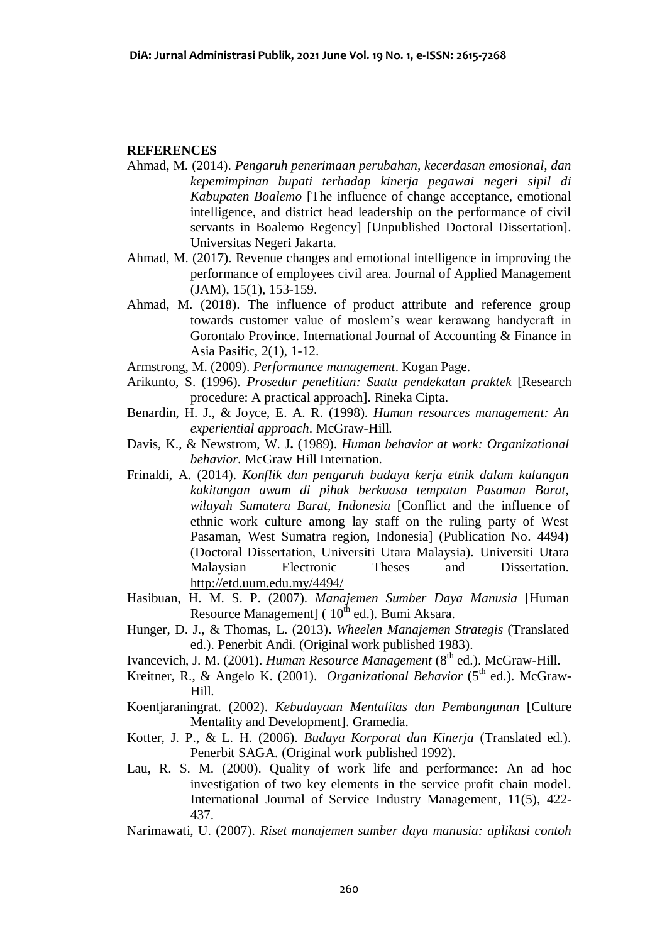## **REFERENCES**

- Ahmad, M*.* (2014). *Pengaruh penerimaan perubahan, kecerdasan emosional, dan kepemimpinan bupati terhadap kinerja pegawai negeri sipil di Kabupaten Boalemo* [The influence of change acceptance, emotional intelligence, and district head leadership on the performance of civil servants in Boalemo Regency] [Unpublished Doctoral Dissertation]. Universitas Negeri Jakarta.
- Ahmad, M. (2017). Revenue changes and emotional intelligence in improving the performance of employees civil area*.* Journal of Applied Management (JAM), 15(1), 153-159.
- Ahmad, M. (2018). The influence of product attribute and reference group towards customer value of moslem's wear kerawang handycraft in Gorontalo Province. International Journal of Accounting & Finance in Asia Pasific, 2(1), 1-12.
- Armstrong, M. (2009). *Performance management*. Kogan Page.
- Arikunto, S. (1996). *Prosedur penelitian: Suatu pendekatan praktek* [Research procedure: A practical approach]. Rineka Cipta.
- Benardin, H. J., & Joyce, E. A. R. (1998). *Human resources management: An experiential approach*. McGraw-Hill.
- Davis, K., & Newstrom, W. J**.** (1989). *Human behavior at work: Organizational behavior.* McGraw Hill Internation.
- Frinaldi, A. (2014). *Konflik dan pengaruh budaya kerja etnik dalam kalangan kakitangan awam di pihak berkuasa tempatan Pasaman Barat, wilayah Sumatera Barat, Indonesia* [Conflict and the influence of ethnic work culture among lay staff on the ruling party of West Pasaman, West Sumatra region, Indonesia] (Publication No. 4494) (Doctoral Dissertation, Universiti Utara Malaysia). Universiti Utara Malaysian Electronic Theses and Dissertation. <http://etd.uum.edu.my/4494/>
- Hasibuan, H. M. S. P. (2007). *Manajemen Sumber Daya Manusia* [Human Resource Management] (  $10^{th}$  ed.). Bumi Aksara.
- Hunger, D. J., & Thomas, L. (2013). *Wheelen Manajemen Strategis* (Translated ed.). Penerbit Andi. (Original work published 1983).
- Ivancevich, J. M. (2001). *Human Resource Management* (8<sup>th</sup> ed.). McGraw-Hill.
- Kreitner, R., & Angelo K. (2001). *Organizational Behavior* (5<sup>th</sup> ed.). McGraw-Hill.
- Koentjaraningrat. (2002). *Kebudayaan Mentalitas dan Pembangunan* [Culture Mentality and Development]. Gramedia.
- Kotter, J. P., & L. H. (2006). *Budaya Korporat dan Kinerja* (Translated ed.). Penerbit SAGA. (Original work published 1992).
- Lau, R. S. M. (2000). Quality of work life and performance: An ad hoc investigation of two key elements in the service profit chain model. International Journal of Service Industry Management, 11(5), 422- 437.
- Narimawati, U. (2007). *Riset manajemen sumber daya manusia: aplikasi contoh*